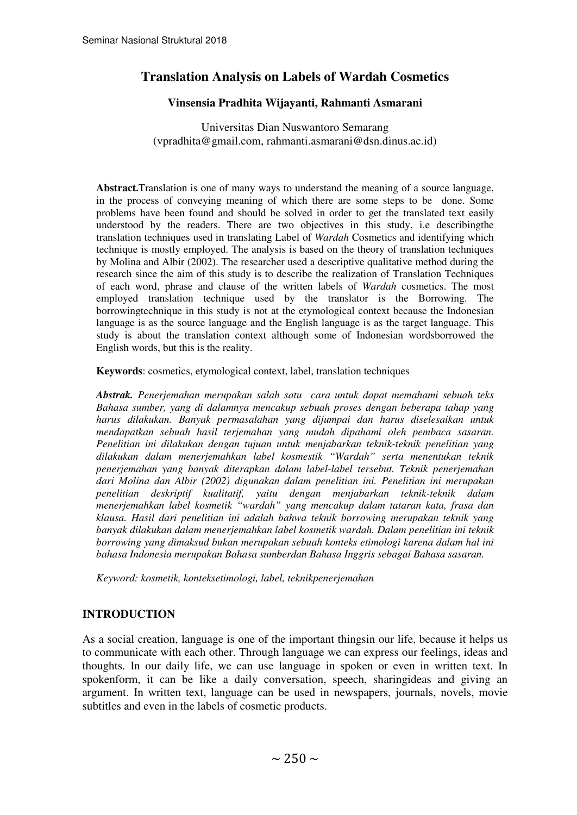# **Translation Analysis on Labels of Wardah Cosmetics**

#### **Vinsensia Pradhita Wijayanti, Rahmanti Asmarani**

Universitas Dian Nuswantoro Semarang (vpradhita@gmail.com, rahmanti.asmarani@dsn.dinus.ac.id)

**Abstract.**Translation is one of many ways to understand the meaning of a source language, in the process of conveying meaning of which there are some steps to be done. Some problems have been found and should be solved in order to get the translated text easily understood by the readers. There are two objectives in this study, i.e describingthe translation techniques used in translating Label of *Wardah* Cosmetics and identifying which technique is mostly employed. The analysis is based on the theory of translation techniques by Molina and Albir (2002). The researcher used a descriptive qualitative method during the research since the aim of this study is to describe the realization of Translation Techniques of each word, phrase and clause of the written labels of *Wardah* cosmetics. The most employed translation technique used by the translator is the Borrowing. The borrowingtechnique in this study is not at the etymological context because the Indonesian language is as the source language and the English language is as the target language. This study is about the translation context although some of Indonesian wordsborrowed the English words, but this is the reality.

**Keywords**: cosmetics, etymological context, label, translation techniques

*Abstrak. Penerjemahan merupakan salah satu cara untuk dapat memahami sebuah teks Bahasa sumber, yang di dalamnya mencakup sebuah proses dengan beberapa tahap yang harus dilakukan. Banyak permasalahan yang dijumpai dan harus diselesaikan untuk mendapatkan sebuah hasil terjemahan yang mudah dipahami oleh pembaca sasaran. Penelitian ini dilakukan dengan tujuan untuk menjabarkan teknik-teknik penelitian yang dilakukan dalam menerjemahkan label kosmestik "Wardah" serta menentukan teknik penerjemahan yang banyak diterapkan dalam label-label tersebut. Teknik penerjemahan dari Molina dan Albir (2002) digunakan dalam penelitian ini. Penelitian ini merupakan penelitian deskriptif kualitatif, yaitu dengan menjabarkan teknik-teknik dalam menerjemahkan label kosmetik "wardah" yang mencakup dalam tataran kata, frasa dan klausa. Hasil dari penelitian ini adalah bahwa teknik borrowing merupakan teknik yang banyak dilakukan dalam menerjemahkan label kosmetik wardah. Dalam penelitian ini teknik borrowing yang dimaksud bukan merupakan sebuah konteks etimologi karena dalam hal ini bahasa Indonesia merupakan Bahasa sumberdan Bahasa Inggris sebagai Bahasa sasaran.* 

*Keyword: kosmetik, konteksetimologi, label, teknikpenerjemahan*

#### **INTRODUCTION**

As a social creation, language is one of the important thingsin our life, because it helps us to communicate with each other. Through language we can express our feelings, ideas and thoughts. In our daily life, we can use language in spoken or even in written text. In spokenform, it can be like a daily conversation, speech, sharingideas and giving an argument. In written text, language can be used in newspapers, journals, novels, movie subtitles and even in the labels of cosmetic products.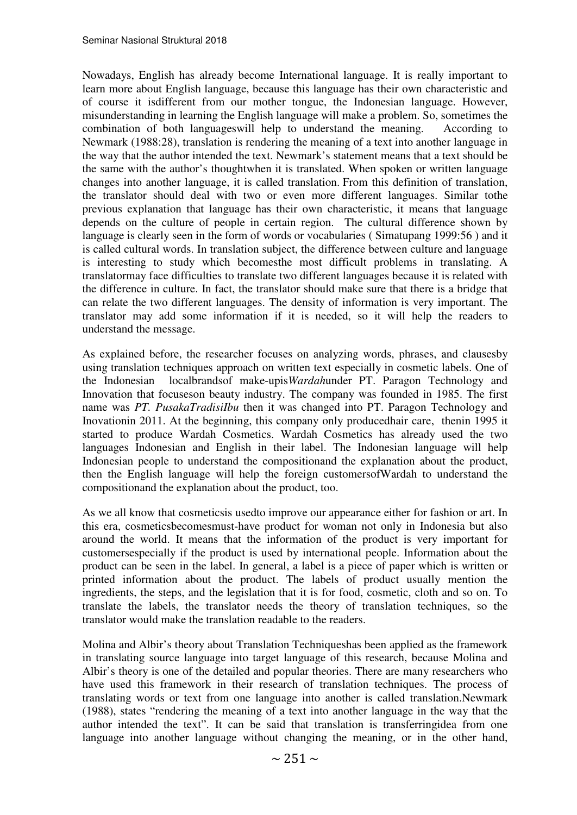Nowadays, English has already become International language. It is really important to learn more about English language, because this language has their own characteristic and of course it isdifferent from our mother tongue, the Indonesian language. However, misunderstanding in learning the English language will make a problem. So, sometimes the combination of both languageswill help to understand the meaning. According to Newmark (1988:28), translation is rendering the meaning of a text into another language in the way that the author intended the text. Newmark's statement means that a text should be the same with the author's thoughtwhen it is translated. When spoken or written language changes into another language, it is called translation. From this definition of translation, the translator should deal with two or even more different languages. Similar tothe previous explanation that language has their own characteristic, it means that language depends on the culture of people in certain region. The cultural difference shown by language is clearly seen in the form of words or vocabularies ( Simatupang 1999:56 ) and it is called cultural words. In translation subject, the difference between culture and language is interesting to study which becomesthe most difficult problems in translating. A translatormay face difficulties to translate two different languages because it is related with the difference in culture. In fact, the translator should make sure that there is a bridge that can relate the two different languages. The density of information is very important. The translator may add some information if it is needed, so it will help the readers to understand the message.

As explained before, the researcher focuses on analyzing words, phrases, and clausesby using translation techniques approach on written text especially in cosmetic labels. One of the Indonesian localbrandsof make-upis*Wardah*under PT. Paragon Technology and Innovation that focuseson beauty industry. The company was founded in 1985. The first name was *PT. PusakaTradisiIbu* then it was changed into PT. Paragon Technology and Inovationin 2011. At the beginning, this company only producedhair care, thenin 1995 it started to produce Wardah Cosmetics. Wardah Cosmetics has already used the two languages Indonesian and English in their label. The Indonesian language will help Indonesian people to understand the compositionand the explanation about the product, then the English language will help the foreign customersofWardah to understand the compositionand the explanation about the product, too.

As we all know that cosmeticsis usedto improve our appearance either for fashion or art. In this era, cosmeticsbecomesmust-have product for woman not only in Indonesia but also around the world. It means that the information of the product is very important for customersespecially if the product is used by international people. Information about the product can be seen in the label. In general, a label is a piece of paper which is written or printed information about the product. The labels of product usually mention the ingredients, the steps, and the legislation that it is for food, cosmetic, cloth and so on. To translate the labels, the translator needs the theory of translation techniques, so the translator would make the translation readable to the readers.

Molina and Albir's theory about Translation Techniqueshas been applied as the framework in translating source language into target language of this research, because Molina and Albir's theory is one of the detailed and popular theories. There are many researchers who have used this framework in their research of translation techniques. The process of translating words or text from one language into another is called translation.Newmark (1988), states "rendering the meaning of a text into another language in the way that the author intended the text". It can be said that translation is transferringidea from one language into another language without changing the meaning, or in the other hand,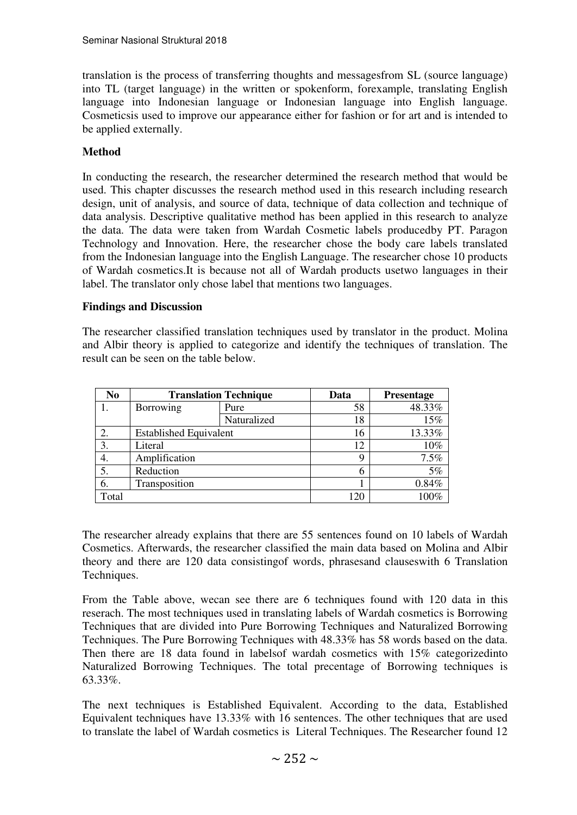translation is the process of transferring thoughts and messagesfrom SL (source language) into TL (target language) in the written or spokenform, forexample, translating English language into Indonesian language or Indonesian language into English language. Cosmeticsis used to improve our appearance either for fashion or for art and is intended to be applied externally.

## **Method**

In conducting the research, the researcher determined the research method that would be used. This chapter discusses the research method used in this research including research design, unit of analysis, and source of data, technique of data collection and technique of data analysis. Descriptive qualitative method has been applied in this research to analyze the data. The data were taken from Wardah Cosmetic labels producedby PT. Paragon Technology and Innovation. Here, the researcher chose the body care labels translated from the Indonesian language into the English Language. The researcher chose 10 products of Wardah cosmetics.It is because not all of Wardah products usetwo languages in their label. The translator only chose label that mentions two languages.

#### **Findings and Discussion**

The researcher classified translation techniques used by translator in the product. Molina and Albir theory is applied to categorize and identify the techniques of translation. The result can be seen on the table below.

| N <sub>0</sub> | <b>Translation Technique</b>  |             | Data | <b>Presentage</b> |
|----------------|-------------------------------|-------------|------|-------------------|
|                | Borrowing                     | Pure        | 58   | 48.33%            |
|                |                               | Naturalized | 18   | 15%               |
|                | <b>Established Equivalent</b> |             | 16   | 13.33%            |
| 3.             | Literal                       |             | 12   | 10%               |
| 4.             | Amplification                 |             | q    | 7.5%              |
|                | Reduction                     |             | 6    | 5%                |
| 6.             | Transposition                 |             |      | 0.84%             |
| Total          |                               |             | 120  | 100%              |

The researcher already explains that there are 55 sentences found on 10 labels of Wardah Cosmetics. Afterwards, the researcher classified the main data based on Molina and Albir theory and there are 120 data consistingof words, phrasesand clauseswith 6 Translation Techniques.

From the Table above, wecan see there are 6 techniques found with 120 data in this reserach. The most techniques used in translating labels of Wardah cosmetics is Borrowing Techniques that are divided into Pure Borrowing Techniques and Naturalized Borrowing Techniques. The Pure Borrowing Techniques with 48.33% has 58 words based on the data. Then there are 18 data found in labelsof wardah cosmetics with 15% categorizedinto Naturalized Borrowing Techniques. The total precentage of Borrowing techniques is 63.33%.

The next techniques is Established Equivalent. According to the data, Established Equivalent techniques have 13.33% with 16 sentences. The other techniques that are used to translate the label of Wardah cosmetics is Literal Techniques. The Researcher found 12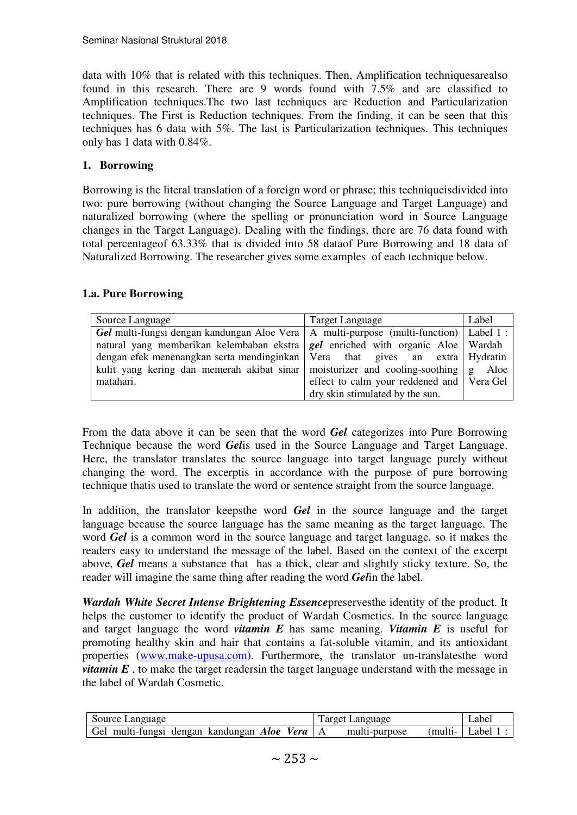data with 10% that is related with this techniques. Then, Amplification techniquesarealso found in this research. There are 9 words found with 7.5% and are classified to Amplification techniques.The two last techniques are Reduction and Particularization techniques. The First is Reduction techniques. From the finding, it can be seen that this techniques has 6 data with 5%. The last is Particularization techniques. This techniques only has 1 data with 0.84%.

#### **1. Borrowing**

Borrowing is the literal translation of a foreign word or phrase; this techniqueisdivided into two: pure borrowing (without changing the Source Language and Target Language) and naturalized borrowing (where the spelling or pronunciation word in Source Language changes in the Target Language). Dealing with the findings, there are 76 data found with total percentageof 63.33% that is divided into 58 dataof Pure Borrowing and 18 data of Naturalized Borrowing. The researcher gives some examples of each technique below.

#### **1.a. Pure Borrowing**

| Source Language                                                                            | Target Language                           | Label |
|--------------------------------------------------------------------------------------------|-------------------------------------------|-------|
| Gel multi-fungsi dengan kandungan Aloe Vera   A multi-purpose (multi-function)   Label 1 : |                                           |       |
| natural yang memberikan kelembaban ekstra $\left $ gel enriched with organic Aloe Wardah   |                                           |       |
| dengan efek menenangkan serta mendinginkan   Vera that gives an extra   Hydratin           |                                           |       |
| kulit yang kering dan memerah akibat sinar moisturizer and cooling-soothing $g$ Aloe       |                                           |       |
| matahari.                                                                                  | effect to calm your reddened and Vera Gel |       |
|                                                                                            | dry skin stimulated by the sun.           |       |

From the data above it can be seen that the word *Gel* categorizes into Pure Borrowing Technique because the word *Gel*is used in the Source Language and Target Language. Here, the translator translates the source language into target language purely without changing the word. The excerptis in accordance with the purpose of pure borrowing technique thatis used to translate the word or sentence straight from the source language.

In addition, the translator keepsthe word *Gel* in the source language and the target language because the source language has the same meaning as the target language. The word *Gel* is a common word in the source language and target language, so it makes the readers easy to understand the message of the label. Based on the context of the excerpt above, *Gel* means a substance that has a thick, clear and slightly sticky texture. So, the reader will imagine the same thing after reading the word *Gel*in the label.

*Wardah White Secret Intense Brightening Essence*preservesthe identity of the product. It helps the customer to identify the product of Wardah Cosmetics. In the source language and target language the word *vitamin E* has same meaning. *Vitamin E* is useful for promoting healthy skin and hair that contains a fat-soluble vitamin, and its antioxidant properties (www.make-upusa.com). Furthermore, the translator un-translatesthe word *vitamin E*, to make the target readersin the target language understand with the message in the label of Wardah Cosmetic.

| Source Language                             | <b>Target Language</b>  | _abe] |
|---------------------------------------------|-------------------------|-------|
| Gel multi-fungsi dengan kandungan Aloe Vera | multi-purpose<br>multi- | .abel |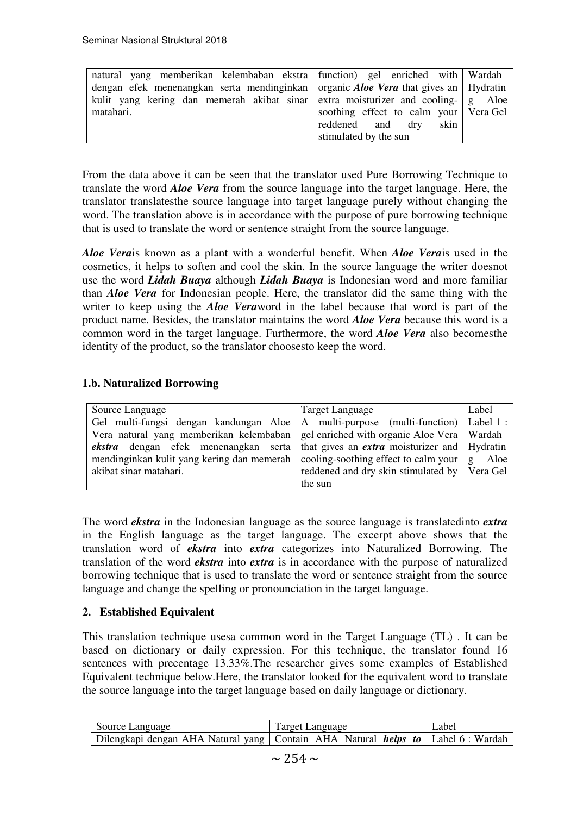| natural yang memberikan kelembaban ekstra function) gel enriched with Wardah               |                                         |  |
|--------------------------------------------------------------------------------------------|-----------------------------------------|--|
| dengan efek menenangkan serta mendinginkan organic <i>Aloe Vera</i> that gives an Hydratin |                                         |  |
| kulit yang kering dan memerah akibat sinar extra moisturizer and cooling- $g$ Aloe         |                                         |  |
| matahari.                                                                                  | soothing effect to calm your   Vera Gel |  |
|                                                                                            | reddened and dry<br>skin                |  |
|                                                                                            | stimulated by the sun                   |  |

From the data above it can be seen that the translator used Pure Borrowing Technique to translate the word *Aloe Vera* from the source language into the target language. Here, the translator translatesthe source language into target language purely without changing the word. The translation above is in accordance with the purpose of pure borrowing technique that is used to translate the word or sentence straight from the source language.

*Aloe Vera*is known as a plant with a wonderful benefit. When *Aloe Vera*is used in the cosmetics, it helps to soften and cool the skin. In the source language the writer doesnot use the word *Lidah Buaya* although *Lidah Buaya* is Indonesian word and more familiar than *Aloe Vera* for Indonesian people. Here, the translator did the same thing with the writer to keep using the *Aloe Vera*word in the label because that word is part of the product name. Besides, the translator maintains the word *Aloe Vera* because this word is a common word in the target language. Furthermore, the word *Aloe Vera* also becomesthe identity of the product, so the translator choosesto keep the word.

#### **1.b. Naturalized Borrowing**

| Source Language                                                                                        | <b>Target Language</b>                         | Label |
|--------------------------------------------------------------------------------------------------------|------------------------------------------------|-------|
| Gel multi-fungsi dengan kandungan Aloe   A multi-purpose (multi-function)   Label 1 :                  |                                                |       |
| Vera natural yang memberikan kelembaban gel enriched with organic Aloe Vera Wardah                     |                                                |       |
| <b><i>ekstra</i></b> dengan efek menenangkan serta that gives an <i>extra</i> moisturizer and Hydratin |                                                |       |
| mendinginkan kulit yang kering dan memerah cooling-soothing effect to calm your   g Aloe               |                                                |       |
| akibat sinar matahari.                                                                                 | reddened and dry skin stimulated by   Vera Gel |       |
|                                                                                                        | the sun                                        |       |

The word *ekstra* in the Indonesian language as the source language is translatedinto *extra* in the English language as the target language. The excerpt above shows that the translation word of *ekstra* into *extra* categorizes into Naturalized Borrowing. The translation of the word *ekstra* into *extra* is in accordance with the purpose of naturalized borrowing technique that is used to translate the word or sentence straight from the source language and change the spelling or pronounciation in the target language.

## **2. Established Equivalent**

This translation technique usesa common word in the Target Language (TL) . It can be based on dictionary or daily expression. For this technique, the translator found 16 sentences with precentage 13.33%.The researcher gives some examples of Established Equivalent technique below.Here, the translator looked for the equivalent word to translate the source language into the target language based on daily language or dictionary.

| Source Language<br>Target Language                                                      |  | Label |
|-----------------------------------------------------------------------------------------|--|-------|
| Dilengkapi dengan AHA Natural yang Contain AHA Natural <i>helps to</i> Label 6 : Wardah |  |       |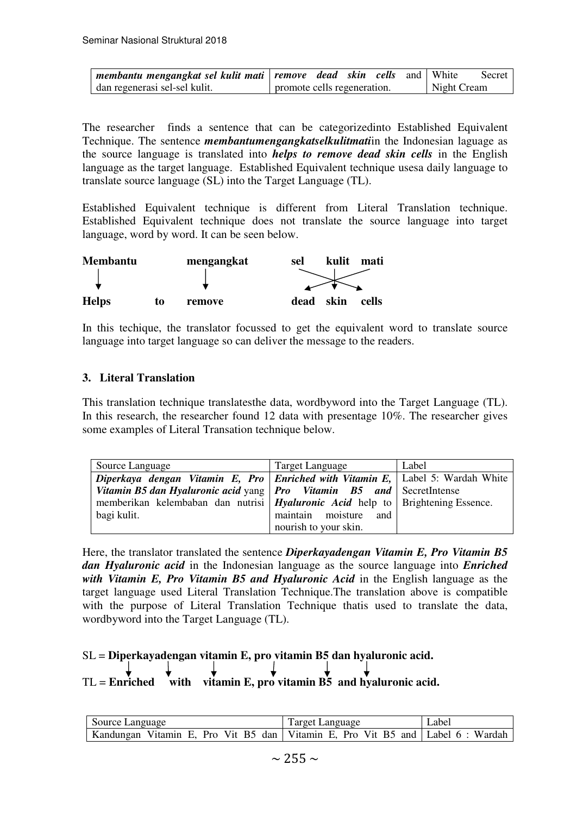| membantu mengangkat sel kulit mati   remove dead skin cells and   White |                             |  |  |             | Secret |
|-------------------------------------------------------------------------|-----------------------------|--|--|-------------|--------|
| dan regenerasi sel-sel kulit.                                           | promote cells regeneration. |  |  | Night Cream |        |

The researcher finds a sentence that can be categorizedinto Established Equivalent Technique. The sentence *membantumengangkatselkulitmati*in the Indonesian laguage as the source language is translated into *helps to remove dead skin cells* in the English language as the target language. Established Equivalent technique usesa daily language to translate source language (SL) into the Target Language (TL).

Established Equivalent technique is different from Literal Translation technique. Established Equivalent technique does not translate the source language into target language, word by word. It can be seen below.



In this techique, the translator focussed to get the equivalent word to translate source language into target language so can deliver the message to the readers.

#### **3. Literal Translation**

This translation technique translatesthe data, wordbyword into the Target Language (TL). In this research, the researcher found 12 data with presentage 10%. The researcher gives some examples of Literal Transation technique below.

| Source Language                                                                       | Target Language       | Label |
|---------------------------------------------------------------------------------------|-----------------------|-------|
| Diperkaya dengan Vitamin E, Pro Enriched with Vitamin E, Label 5: Wardah White        |                       |       |
| Vitamin B5 dan Hyaluronic acid yang $ $ Pro Vitamin B5 and SecretIntense              |                       |       |
| memberikan kelembaban dan nutrisi <i>Hyaluronic Acid</i> help to Brightening Essence. |                       |       |
| bagi kulit.                                                                           | maintain moisture and |       |
|                                                                                       | nourish to your skin. |       |

Here, the translator translated the sentence *Diperkayadengan Vitamin E, Pro Vitamin B5 dan Hyaluronic acid* in the Indonesian language as the source language into *Enriched with Vitamin E, Pro Vitamin B5 and Hyaluronic Acid* in the English language as the target language used Literal Translation Technique.The translation above is compatible with the purpose of Literal Translation Technique thatis used to translate the data, wordbyword into the Target Language (TL).

# SL = **Diperkayadengan vitamin E, pro vitamin B5 dan hyaluronic acid.**

TL = **Enriched** with vitamin E, pro vitamin B5 and hyaluronic acid.

| Source Language                                                                    | Target Language | Label |
|------------------------------------------------------------------------------------|-----------------|-------|
| Kandungan Vitamin E, Pro Vit B5 dan   Vitamin E, Pro Vit B5 and   Label 6 : Wardah |                 |       |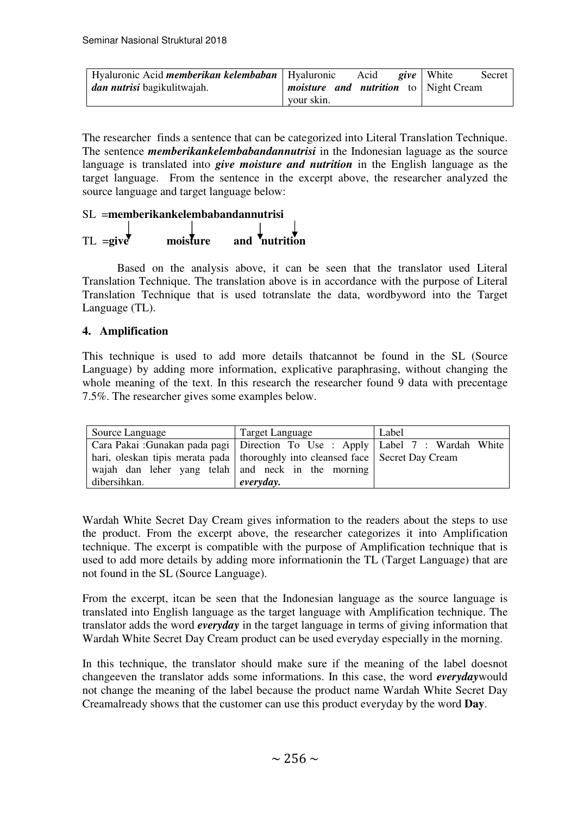| Hyaluronic Acid <i>memberikan kelembaban</i>   Hyaluronic |                                              | Acid | <i>give</i> White | Secret |
|-----------------------------------------------------------|----------------------------------------------|------|-------------------|--------|
| <i>dan nutrisi</i> bagikulitwajah.                        | <i>moisture and nutrition</i> to Night Cream |      |                   |        |
|                                                           | your skin.                                   |      |                   |        |

The researcher finds a sentence that can be categorized into Literal Translation Technique. The sentence *memberikankelembabandannutrisi* in the Indonesian laguage as the source language is translated into *give moisture and nutrition* in the English language as the target language. From the sentence in the excerpt above, the researcher analyzed the source language and target language below:

# SL =**memberikankelembabandannutrisi**  $TL = give \qquad \qquad \text{mois} \quad \text{true} \qquad \text{and} \qquad \text{Inutrition}$

 Based on the analysis above, it can be seen that the translator used Literal Translation Technique. The translation above is in accordance with the purpose of Literal Translation Technique that is used totranslate the data, wordbyword into the Target Language (TL).

## **4. Amplification**

This technique is used to add more details thatcannot be found in the SL (Source Language) by adding more information, explicative paraphrasing, without changing the whole meaning of the text. In this research the researcher found 9 data with precentage 7.5%. The researcher gives some examples below.

| Source Language                                                                                                                                                     | <b>Target Language</b> | Label |
|---------------------------------------------------------------------------------------------------------------------------------------------------------------------|------------------------|-------|
| Cara Pakai :Gunakan pada pagi Direction To Use : Apply Label 7 : Wardah White<br>hari, oleskan tipis merata pada   thoroughly into cleansed face   Secret Day Cream |                        |       |
| wajah dan leher yang telah and neck in the morning<br>dibersihkan.                                                                                                  | everyday.              |       |

Wardah White Secret Day Cream gives information to the readers about the steps to use the product. From the excerpt above, the researcher categorizes it into Amplification technique. The excerpt is compatible with the purpose of Amplification technique that is used to add more details by adding more informationin the TL (Target Language) that are not found in the SL (Source Language).

From the excerpt, itcan be seen that the Indonesian language as the source language is translated into English language as the target language with Amplification technique. The translator adds the word *everyday* in the target language in terms of giving information that Wardah White Secret Day Cream product can be used everyday especially in the morning.

In this technique, the translator should make sure if the meaning of the label doesnot changeeven the translator adds some informations. In this case, the word *everyday*would not change the meaning of the label because the product name Wardah White Secret Day Creamalready shows that the customer can use this product everyday by the word **Day**.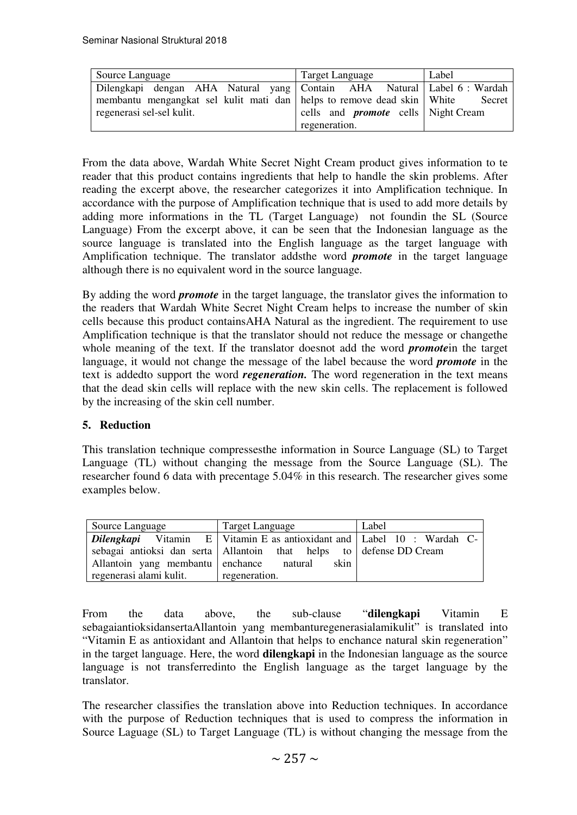| Source Language                                                         | Target Language                            | Label  |
|-------------------------------------------------------------------------|--------------------------------------------|--------|
| Dilengkapi dengan AHA Natural yang Contain AHA Natural Label 6 : Wardah |                                            |        |
| membantu mengangkat sel kulit mati dan helps to remove dead skin White  |                                            | Secret |
| regenerasi sel-sel kulit.                                               | cells and <b>promote</b> cells Night Cream |        |
|                                                                         | regeneration.                              |        |

From the data above, Wardah White Secret Night Cream product gives information to te reader that this product contains ingredients that help to handle the skin problems. After reading the excerpt above, the researcher categorizes it into Amplification technique. In accordance with the purpose of Amplification technique that is used to add more details by adding more informations in the TL (Target Language) not foundin the SL (Source Language) From the excerpt above, it can be seen that the Indonesian language as the source language is translated into the English language as the target language with Amplification technique. The translator addsthe word *promote* in the target language although there is no equivalent word in the source language.

By adding the word *promote* in the target language, the translator gives the information to the readers that Wardah White Secret Night Cream helps to increase the number of skin cells because this product containsAHA Natural as the ingredient. The requirement to use Amplification technique is that the translator should not reduce the message or changethe whole meaning of the text. If the translator doesnot add the word *promote*in the target language, it would not change the message of the label because the word *promote* in the text is addedto support the word *regeneration.* The word regeneration in the text means that the dead skin cells will replace with the new skin cells. The replacement is followed by the increasing of the skin cell number.

#### **5. Reduction**

This translation technique compressesthe information in Source Language (SL) to Target Language (TL) without changing the message from the Source Language (SL). The researcher found 6 data with precentage 5.04% in this research. The researcher gives some examples below.

| Source Language                          | Target Language                                                                         | Label |  |
|------------------------------------------|-----------------------------------------------------------------------------------------|-------|--|
|                                          | <b>Dilengkapi</b> Vitamin $E$   Vitamin $E$ as antioxidant and $ $ Label 10 : Wardah C- |       |  |
|                                          | sebagai antioksi dan serta   Allantoin that helps to   defense DD Cream                 |       |  |
| Allantoin yang membantu enchance natural | skin                                                                                    |       |  |
| regenerasi alami kulit.                  | regeneration.                                                                           |       |  |

From the data above, the sub-clause "**dilengkapi** Vitamin E sebagaiantioksidansertaAllantoin yang membanturegenerasialamikulit" is translated into "Vitamin E as antioxidant and Allantoin that helps to enchance natural skin regeneration" in the target language. Here, the word **dilengkapi** in the Indonesian language as the source language is not transferredinto the English language as the target language by the translator.

The researcher classifies the translation above into Reduction techniques. In accordance with the purpose of Reduction techniques that is used to compress the information in Source Laguage (SL) to Target Language (TL) is without changing the message from the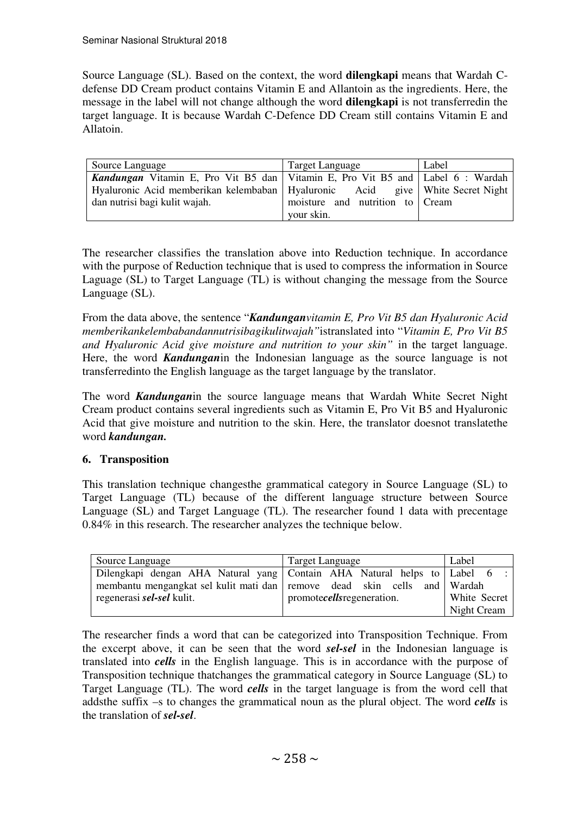Source Language (SL). Based on the context, the word **dilengkapi** means that Wardah Cdefense DD Cream product contains Vitamin E and Allantoin as the ingredients. Here, the message in the label will not change although the word **dilengkapi** is not transferredin the target language. It is because Wardah C-Defence DD Cream still contains Vitamin E and Allatoin.

| Source Language                                                                           | Target Language                 | Label |
|-------------------------------------------------------------------------------------------|---------------------------------|-------|
| <b>Kandungan</b> Vitamin E, Pro Vit B5 dan   Vitamin E, Pro Vit B5 and   Label 6 : Wardah |                                 |       |
| Hyaluronic Acid memberikan kelembaban   Hyaluronic Acid give   White Secret Night         |                                 |       |
| dan nutrisi bagi kulit wajah.                                                             | moisture and nutrition to Cream |       |
|                                                                                           | your skin.                      |       |

The researcher classifies the translation above into Reduction technique. In accordance with the purpose of Reduction technique that is used to compress the information in Source Laguage (SL) to Target Language (TL) is without changing the message from the Source Language (SL).

From the data above, the sentence "*Kandunganvitamin E, Pro Vit B5 dan Hyaluronic Acid memberikankelembabandannutrisibagikulitwajah"*istranslated into "*Vitamin E, Pro Vit B5 and Hyaluronic Acid give moisture and nutrition to your skin"* in the target language. Here, the word *Kandungan*in the Indonesian language as the source language is not transferredinto the English language as the target language by the translator.

The word *Kandungan*in the source language means that Wardah White Secret Night Cream product contains several ingredients such as Vitamin E, Pro Vit B5 and Hyaluronic Acid that give moisture and nutrition to the skin. Here, the translator doesnot translatethe word *kandungan.*

## **6. Transposition**

This translation technique changesthe grammatical category in Source Language (SL) to Target Language (TL) because of the different language structure between Source Language (SL) and Target Language (TL). The researcher found 1 data with precentage 0.84% in this research. The researcher analyzes the technique below.

|                                  | Source Language                                                          | Target Language            | Label        |
|----------------------------------|--------------------------------------------------------------------------|----------------------------|--------------|
|                                  | Dilengkapi dengan AHA Natural yang Contain AHA Natural helps to Label 6  |                            |              |
|                                  | membantu mengangkat sel kulit mati dan remove dead skin cells and Wardah |                            |              |
| regenerasi <i>sel-sel</i> kulit. |                                                                          | promotecells regeneration. | White Secret |
|                                  |                                                                          |                            | Night Cream  |

The researcher finds a word that can be categorized into Transposition Technique. From the excerpt above, it can be seen that the word *sel-sel* in the Indonesian language is translated into *cells* in the English language. This is in accordance with the purpose of Transposition technique thatchanges the grammatical category in Source Language (SL) to Target Language (TL). The word *cells* in the target language is from the word cell that addsthe suffix –s to changes the grammatical noun as the plural object. The word *cells* is the translation of *sel-sel*.